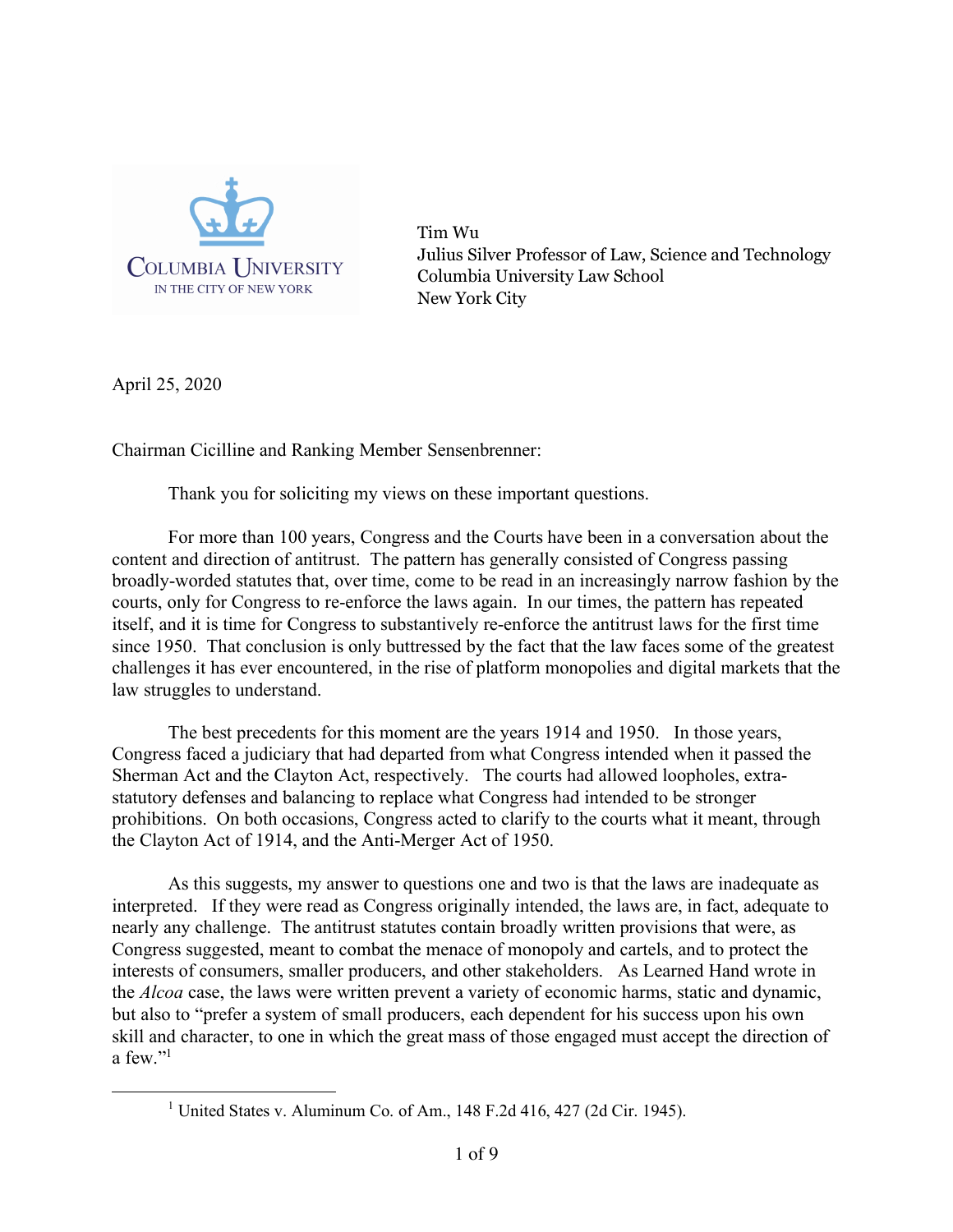

Tim Wu Julius Silver Professor of Law, Science and Technology Columbia University Law School New York City

April 25, 2020

Chairman Cicilline and Ranking Member Sensenbrenner:

Thank you for soliciting my views on these important questions.

For more than 100 years, Congress and the Courts have been in a conversation about the content and direction of antitrust. The pattern has generally consisted of Congress passing broadly-worded statutes that, over time, come to be read in an increasingly narrow fashion by the courts, only for Congress to re-enforce the laws again. In our times, the pattern has repeated itself, and it is time for Congress to substantively re-enforce the antitrust laws for the first time since 1950. That conclusion is only buttressed by the fact that the law faces some of the greatest challenges it has ever encountered, in the rise of platform monopolies and digital markets that the law struggles to understand.

The best precedents for this moment are the years 1914 and 1950. In those years, Congress faced a judiciary that had departed from what Congress intended when it passed the Sherman Act and the Clayton Act, respectively. The courts had allowed loopholes, extrastatutory defenses and balancing to replace what Congress had intended to be stronger prohibitions. On both occasions, Congress acted to clarify to the courts what it meant, through the Clayton Act of 1914, and the Anti-Merger Act of 1950.

As this suggests, my answer to questions one and two is that the laws are inadequate as interpreted. If they were read as Congress originally intended, the laws are, in fact, adequate to nearly any challenge. The antitrust statutes contain broadly written provisions that were, as Congress suggested, meant to combat the menace of monopoly and cartels, and to protect the interests of consumers, smaller producers, and other stakeholders. As Learned Hand wrote in the *Alcoa* case, the laws were written prevent a variety of economic harms, static and dynamic, but also to "prefer a system of small producers, each dependent for his success upon his own skill and character, to one in which the great mass of those engaged must accept the direction of a few."1

<sup>&</sup>lt;sup>1</sup> United States v. Aluminum Co. of Am.,  $148$  F.2d 416, 427 (2d Cir. 1945).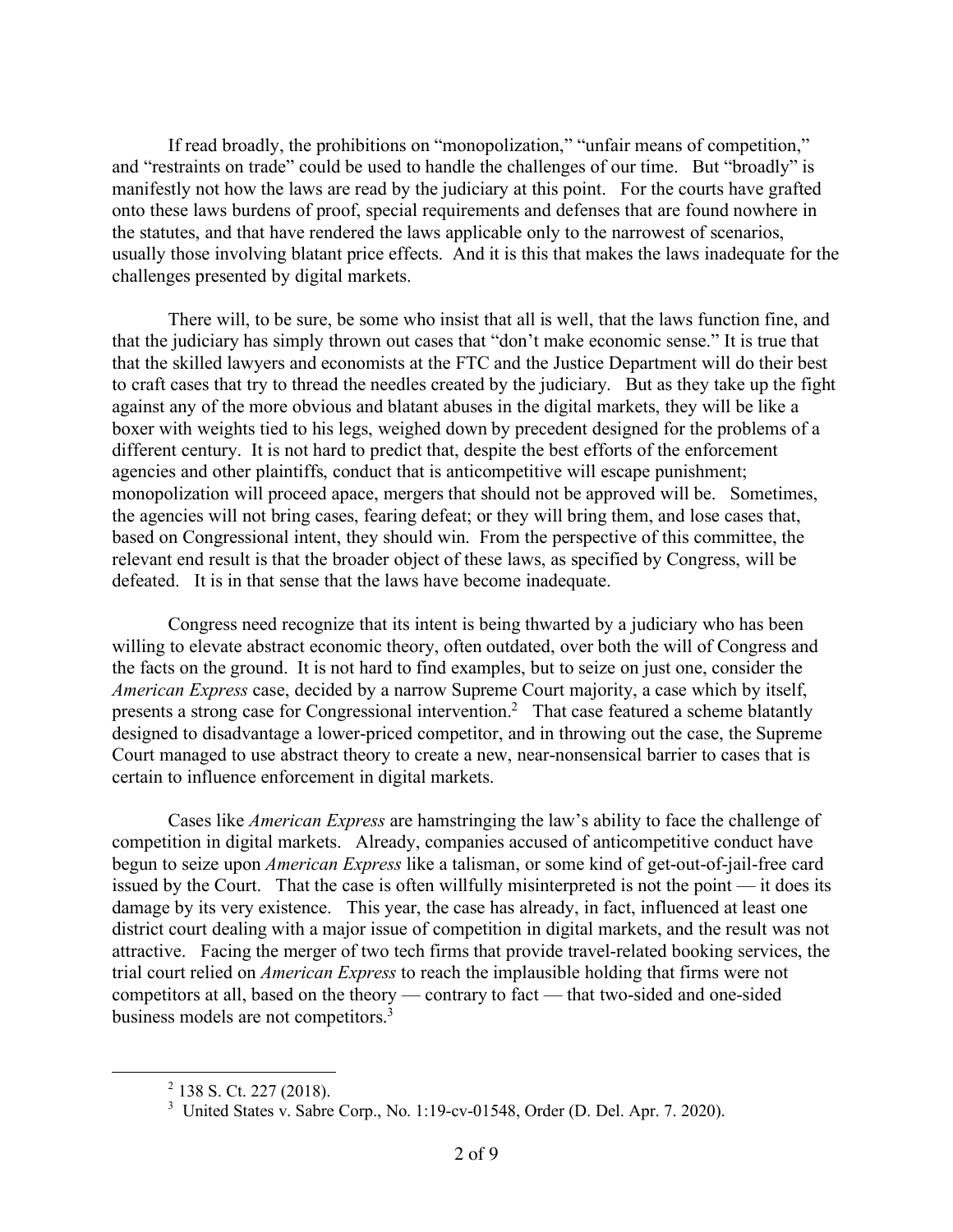If read broadly, the prohibitions on "monopolization," "unfair means of competition," and "restraints on trade" could be used to handle the challenges of our time. But "broadly" is manifestly not how the laws are read by the judiciary at this point. For the courts have grafted onto these laws burdens of proof, special requirements and defenses that are found nowhere in the statutes, and that have rendered the laws applicable only to the narrowest of scenarios, usually those involving blatant price effects. And it is this that makes the laws inadequate for the challenges presented by digital markets.

There will, to be sure, be some who insist that all is well, that the laws function fine, and that the judiciary has simply thrown out cases that "don't make economic sense." It is true that that the skilled lawyers and economists at the FTC and the Justice Department will do their best to craft cases that try to thread the needles created by the judiciary. But as they take up the fight against any of the more obvious and blatant abuses in the digital markets, they will be like a boxer with weights tied to his legs, weighed down by precedent designed for the problems of a different century. It is not hard to predict that, despite the best efforts of the enforcement agencies and other plaintiffs, conduct that is anticompetitive will escape punishment; monopolization will proceed apace, mergers that should not be approved will be. Sometimes, the agencies will not bring cases, fearing defeat; or they will bring them, and lose cases that, based on Congressional intent, they should win. From the perspective of this committee, the relevant end result is that the broader object of these laws, as specified by Congress, will be defeated. It is in that sense that the laws have become inadequate.

Congress need recognize that its intent is being thwarted by a judiciary who has been willing to elevate abstract economic theory, often outdated, over both the will of Congress and the facts on the ground. It is not hard to find examples, but to seize on just one, consider the *American Express* case, decided by a narrow Supreme Court majority, a case which by itself, presents a strong case for Congressional intervention.<sup>2</sup> That case featured a scheme blatantly designed to disadvantage a lower-priced competitor, and in throwing out the case, the Supreme Court managed to use abstract theory to create a new, near-nonsensical barrier to cases that is certain to influence enforcement in digital markets.

Cases like *American Express* are hamstringing the law's ability to face the challenge of competition in digital markets. Already, companies accused of anticompetitive conduct have begun to seize upon *American Express* like a talisman, or some kind of get-out-of-jail-free card issued by the Court. That the case is often willfully misinterpreted is not the point — it does its damage by its very existence. This year, the case has already, in fact, influenced at least one district court dealing with a major issue of competition in digital markets, and the result was not attractive. Facing the merger of two tech firms that provide travel-related booking services, the trial court relied on *American Express* to reach the implausible holding that firms were not competitors at all, based on the theory — contrary to fact — that two-sided and one-sided business models are not competitors.<sup>3</sup>

 $2$  138 S. Ct. 227 (2018).

<sup>&</sup>lt;sup>3</sup> United States v. Sabre Corp., No. 1:19-cv-01548, Order (D. Del. Apr. 7. 2020).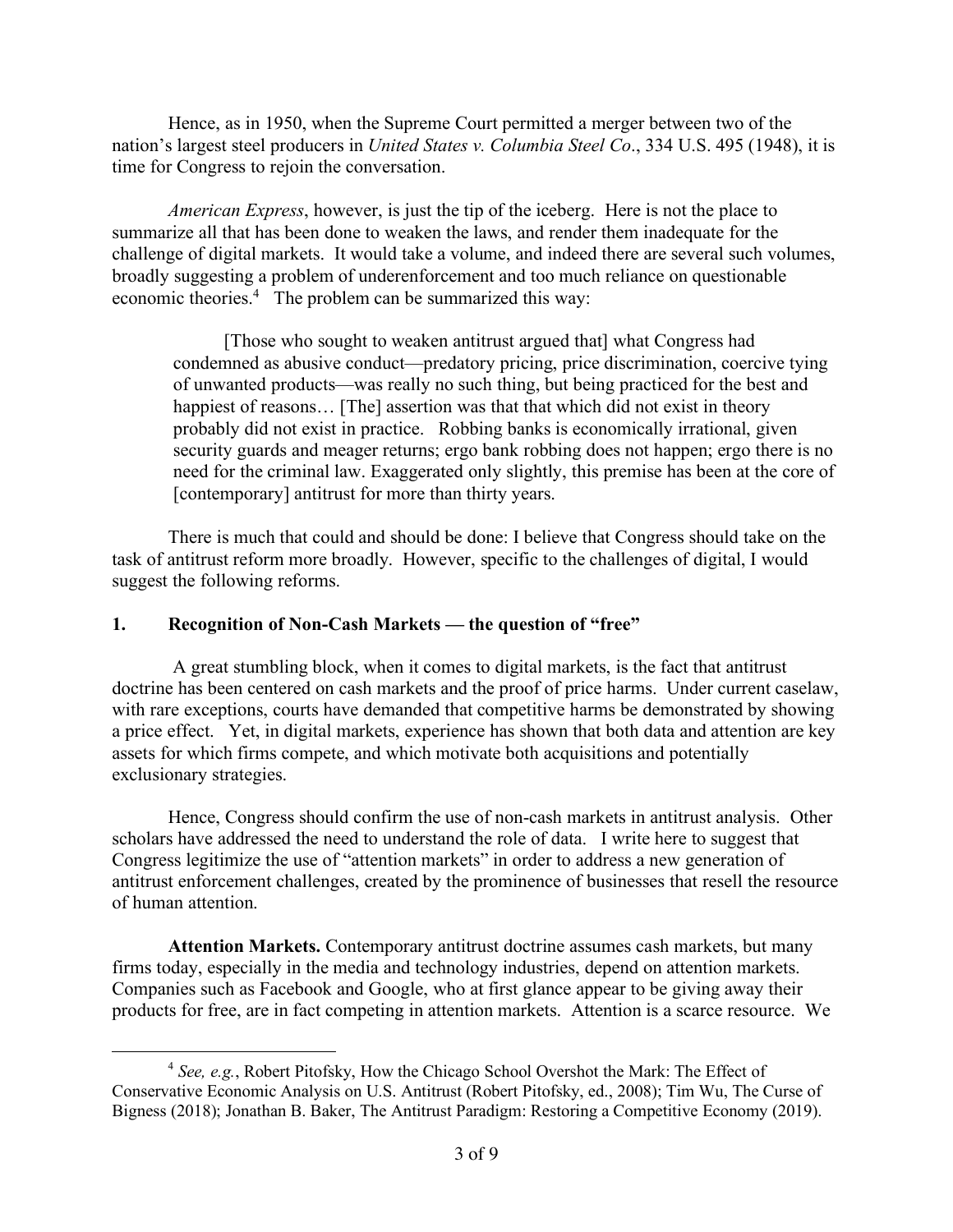Hence, as in 1950, when the Supreme Court permitted a merger between two of the nation's largest steel producers in *United States v. Columbia Steel Co*., 334 U.S. 495 (1948), it is time for Congress to rejoin the conversation.

*American Express*, however, is just the tip of the iceberg. Here is not the place to summarize all that has been done to weaken the laws, and render them inadequate for the challenge of digital markets. It would take a volume, and indeed there are several such volumes, broadly suggesting a problem of underenforcement and too much reliance on questionable economic theories.<sup>4</sup> The problem can be summarized this way:

[Those who sought to weaken antitrust argued that] what Congress had condemned as abusive conduct—predatory pricing, price discrimination, coercive tying of unwanted products—was really no such thing, but being practiced for the best and happiest of reasons... [The] assertion was that that which did not exist in theory probably did not exist in practice. Robbing banks is economically irrational, given security guards and meager returns; ergo bank robbing does not happen; ergo there is no need for the criminal law. Exaggerated only slightly, this premise has been at the core of [contemporary] antitrust for more than thirty years.

There is much that could and should be done: I believe that Congress should take on the task of antitrust reform more broadly. However, specific to the challenges of digital, I would suggest the following reforms.

# **1. Recognition of Non-Cash Markets — the question of "free"**

A great stumbling block, when it comes to digital markets, is the fact that antitrust doctrine has been centered on cash markets and the proof of price harms. Under current caselaw, with rare exceptions, courts have demanded that competitive harms be demonstrated by showing a price effect. Yet, in digital markets, experience has shown that both data and attention are key assets for which firms compete, and which motivate both acquisitions and potentially exclusionary strategies.

Hence, Congress should confirm the use of non-cash markets in antitrust analysis. Other scholars have addressed the need to understand the role of data. I write here to suggest that Congress legitimize the use of "attention markets" in order to address a new generation of antitrust enforcement challenges, created by the prominence of businesses that resell the resource of human attention.

**Attention Markets.** Contemporary antitrust doctrine assumes cash markets, but many firms today, especially in the media and technology industries, depend on attention markets. Companies such as Facebook and Google, who at first glance appear to be giving away their products for free, are in fact competing in attention markets. Attention is a scarce resource. We

 <sup>4</sup> *See, e.g.*, Robert Pitofsky, How the Chicago School Overshot the Mark: The Effect of Conservative Economic Analysis on U.S. Antitrust (Robert Pitofsky, ed., 2008); Tim Wu, The Curse of Bigness (2018); Jonathan B. Baker, The Antitrust Paradigm: Restoring a Competitive Economy (2019).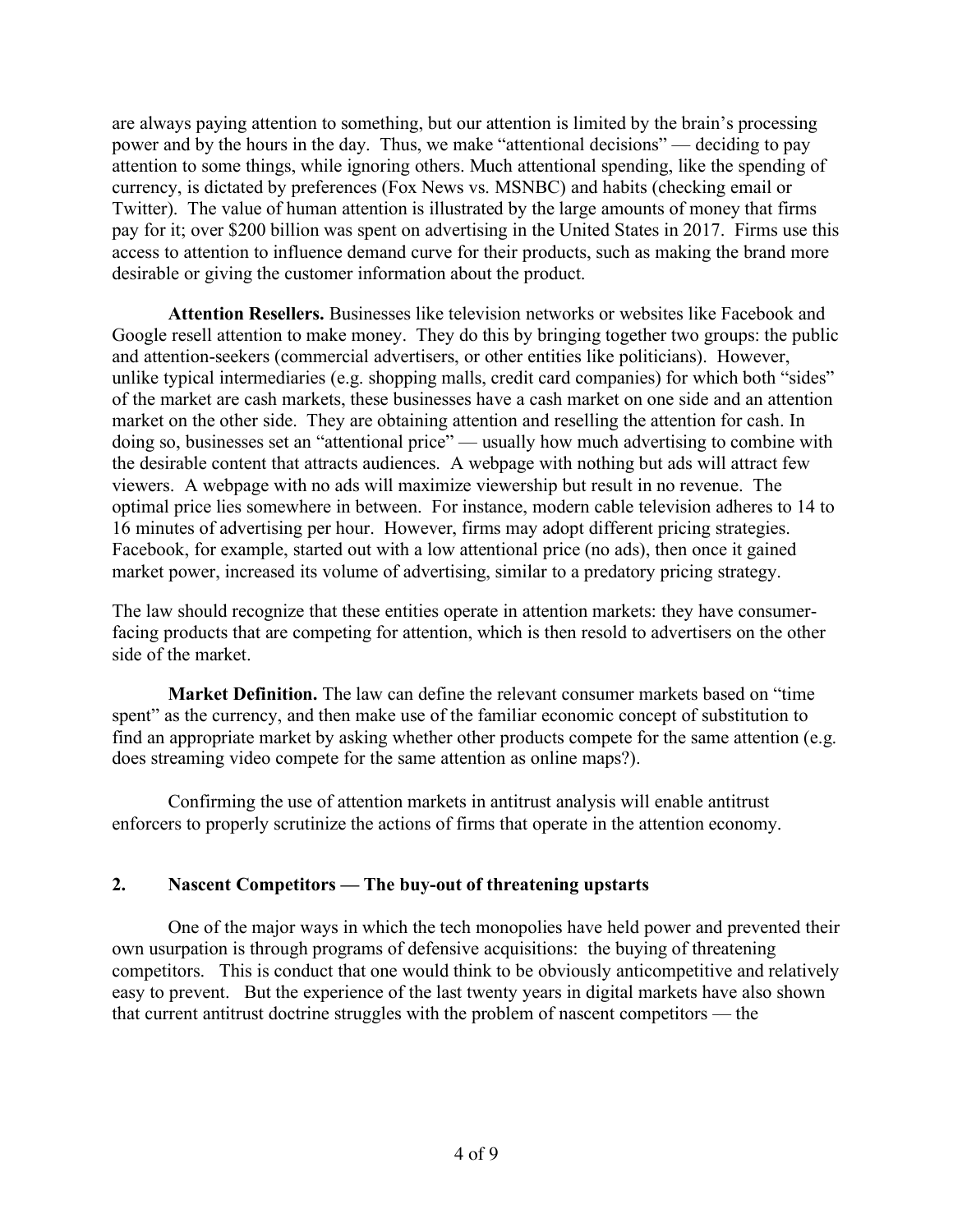are always paying attention to something, but our attention is limited by the brain's processing power and by the hours in the day. Thus, we make "attentional decisions" — deciding to pay attention to some things, while ignoring others. Much attentional spending, like the spending of currency, is dictated by preferences (Fox News vs. MSNBC) and habits (checking email or Twitter). The value of human attention is illustrated by the large amounts of money that firms pay for it; over \$200 billion was spent on advertising in the United States in 2017. Firms use this access to attention to influence demand curve for their products, such as making the brand more desirable or giving the customer information about the product.

**Attention Resellers.** Businesses like television networks or websites like Facebook and Google resell attention to make money. They do this by bringing together two groups: the public and attention-seekers (commercial advertisers, or other entities like politicians). However, unlike typical intermediaries (e.g. shopping malls, credit card companies) for which both "sides" of the market are cash markets, these businesses have a cash market on one side and an attention market on the other side. They are obtaining attention and reselling the attention for cash. In doing so, businesses set an "attentional price" — usually how much advertising to combine with the desirable content that attracts audiences. A webpage with nothing but ads will attract few viewers. A webpage with no ads will maximize viewership but result in no revenue. The optimal price lies somewhere in between. For instance, modern cable television adheres to 14 to 16 minutes of advertising per hour. However, firms may adopt different pricing strategies. Facebook, for example, started out with a low attentional price (no ads), then once it gained market power, increased its volume of advertising, similar to a predatory pricing strategy.

The law should recognize that these entities operate in attention markets: they have consumerfacing products that are competing for attention, which is then resold to advertisers on the other side of the market.

**Market Definition.** The law can define the relevant consumer markets based on "time spent" as the currency, and then make use of the familiar economic concept of substitution to find an appropriate market by asking whether other products compete for the same attention (e.g. does streaming video compete for the same attention as online maps?).

Confirming the use of attention markets in antitrust analysis will enable antitrust enforcers to properly scrutinize the actions of firms that operate in the attention economy.

# **2. Nascent Competitors — The buy-out of threatening upstarts**

One of the major ways in which the tech monopolies have held power and prevented their own usurpation is through programs of defensive acquisitions: the buying of threatening competitors. This is conduct that one would think to be obviously anticompetitive and relatively easy to prevent. But the experience of the last twenty years in digital markets have also shown that current antitrust doctrine struggles with the problem of nascent competitors — the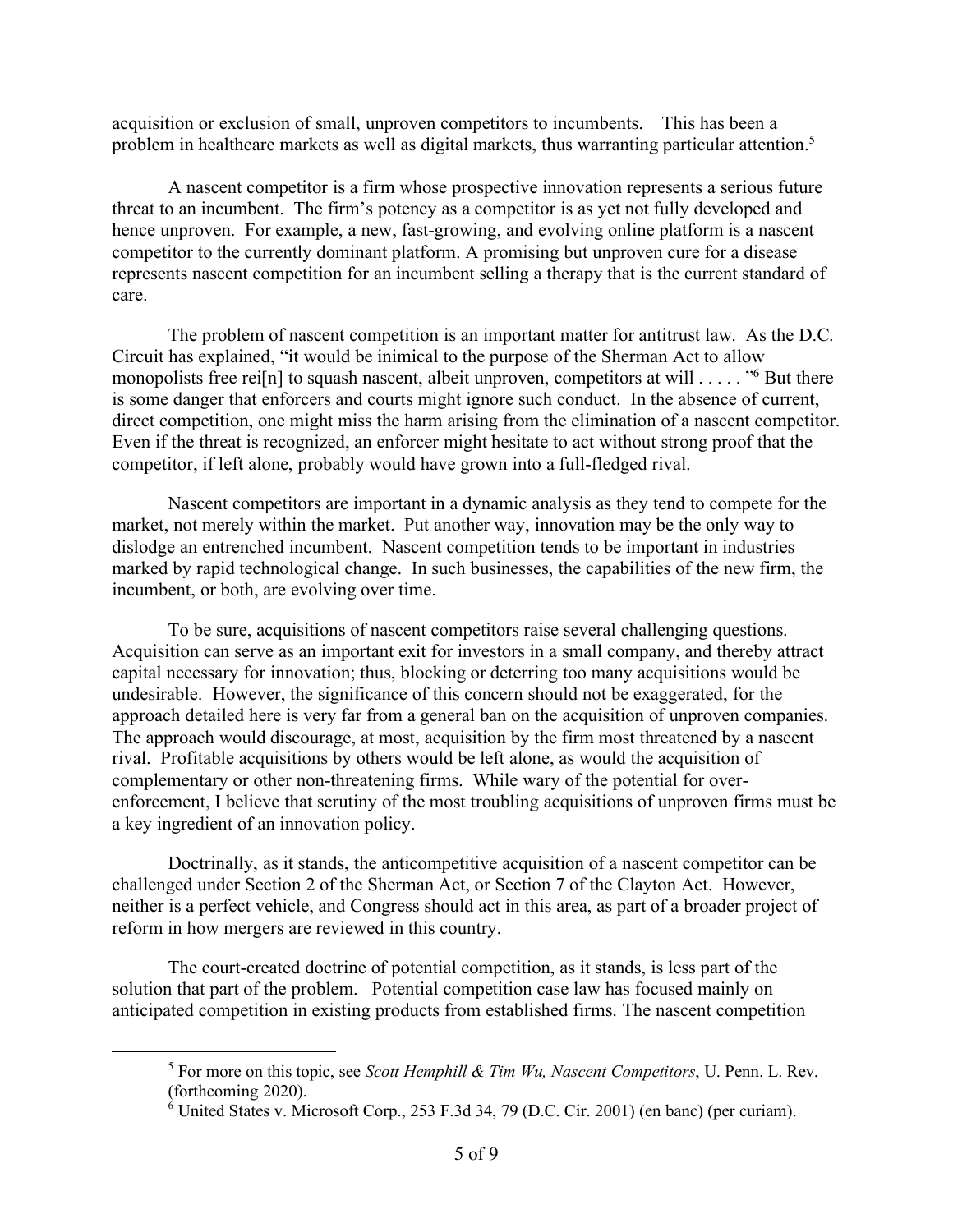acquisition or exclusion of small, unproven competitors to incumbents. This has been a problem in healthcare markets as well as digital markets, thus warranting particular attention.<sup>5</sup>

A nascent competitor is a firm whose prospective innovation represents a serious future threat to an incumbent. The firm's potency as a competitor is as yet not fully developed and hence unproven. For example, a new, fast-growing, and evolving online platform is a nascent competitor to the currently dominant platform. A promising but unproven cure for a disease represents nascent competition for an incumbent selling a therapy that is the current standard of care.

The problem of nascent competition is an important matter for antitrust law. As the D.C. Circuit has explained, "it would be inimical to the purpose of the Sherman Act to allow monopolists free rei<sup>[n]</sup> to squash nascent, albeit unproven, competitors at will . . . . . "<sup>6</sup> But there is some danger that enforcers and courts might ignore such conduct. In the absence of current, direct competition, one might miss the harm arising from the elimination of a nascent competitor. Even if the threat is recognized, an enforcer might hesitate to act without strong proof that the competitor, if left alone, probably would have grown into a full-fledged rival.

Nascent competitors are important in a dynamic analysis as they tend to compete for the market, not merely within the market. Put another way, innovation may be the only way to dislodge an entrenched incumbent. Nascent competition tends to be important in industries marked by rapid technological change. In such businesses, the capabilities of the new firm, the incumbent, or both, are evolving over time.

To be sure, acquisitions of nascent competitors raise several challenging questions. Acquisition can serve as an important exit for investors in a small company, and thereby attract capital necessary for innovation; thus, blocking or deterring too many acquisitions would be undesirable. However, the significance of this concern should not be exaggerated, for the approach detailed here is very far from a general ban on the acquisition of unproven companies. The approach would discourage, at most, acquisition by the firm most threatened by a nascent rival. Profitable acquisitions by others would be left alone, as would the acquisition of complementary or other non-threatening firms. While wary of the potential for overenforcement, I believe that scrutiny of the most troubling acquisitions of unproven firms must be a key ingredient of an innovation policy.

Doctrinally, as it stands, the anticompetitive acquisition of a nascent competitor can be challenged under Section 2 of the Sherman Act, or Section 7 of the Clayton Act. However, neither is a perfect vehicle, and Congress should act in this area, as part of a broader project of reform in how mergers are reviewed in this country.

The court-created doctrine of potential competition, as it stands, is less part of the solution that part of the problem. Potential competition case law has focused mainly on anticipated competition in existing products from established firms. The nascent competition

 <sup>5</sup> For more on this topic, see *Scott Hemphill & Tim Wu, Nascent Competitors*, U. Penn. L. Rev. (forthcoming 2020).

 $6$  United States v. Microsoft Corp., 253 F.3d 34, 79 (D.C. Cir. 2001) (en banc) (per curiam).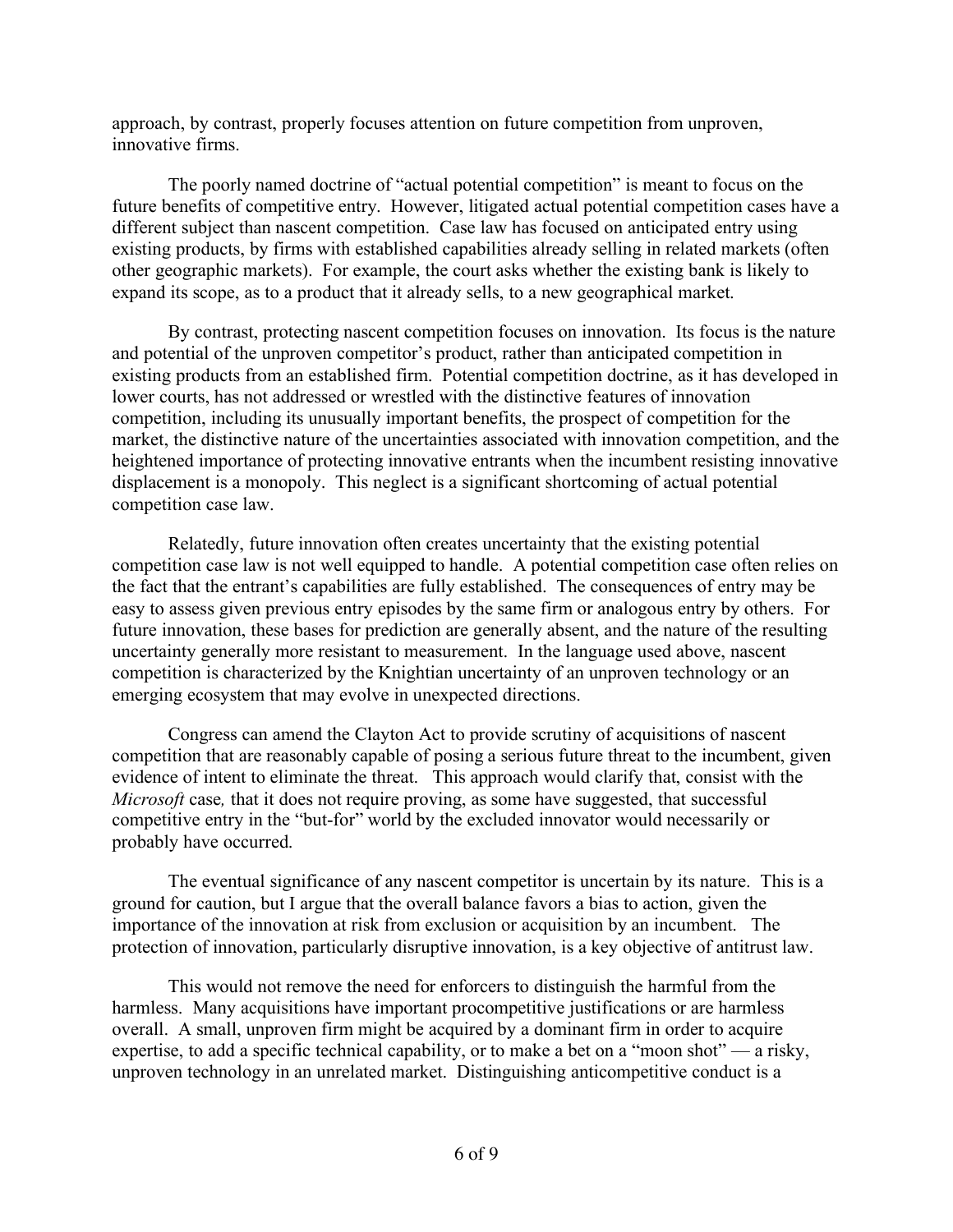approach, by contrast, properly focuses attention on future competition from unproven, innovative firms.

The poorly named doctrine of "actual potential competition" is meant to focus on the future benefits of competitive entry. However, litigated actual potential competition cases have a different subject than nascent competition. Case law has focused on anticipated entry using existing products, by firms with established capabilities already selling in related markets (often other geographic markets). For example, the court asks whether the existing bank is likely to expand its scope, as to a product that it already sells, to a new geographical market.

By contrast, protecting nascent competition focuses on innovation. Its focus is the nature and potential of the unproven competitor's product, rather than anticipated competition in existing products from an established firm. Potential competition doctrine, as it has developed in lower courts, has not addressed or wrestled with the distinctive features of innovation competition, including its unusually important benefits, the prospect of competition for the market, the distinctive nature of the uncertainties associated with innovation competition, and the heightened importance of protecting innovative entrants when the incumbent resisting innovative displacement is a monopoly. This neglect is a significant shortcoming of actual potential competition case law.

Relatedly, future innovation often creates uncertainty that the existing potential competition case law is not well equipped to handle. A potential competition case often relies on the fact that the entrant's capabilities are fully established. The consequences of entry may be easy to assess given previous entry episodes by the same firm or analogous entry by others. For future innovation, these bases for prediction are generally absent, and the nature of the resulting uncertainty generally more resistant to measurement. In the language used above, nascent competition is characterized by the Knightian uncertainty of an unproven technology or an emerging ecosystem that may evolve in unexpected directions.

Congress can amend the Clayton Act to provide scrutiny of acquisitions of nascent competition that are reasonably capable of posing a serious future threat to the incumbent, given evidence of intent to eliminate the threat. This approach would clarify that, consist with the *Microsoft* case*,* that it does not require proving, as some have suggested, that successful competitive entry in the "but-for" world by the excluded innovator would necessarily or probably have occurred.

The eventual significance of any nascent competitor is uncertain by its nature. This is a ground for caution, but I argue that the overall balance favors a bias to action, given the importance of the innovation at risk from exclusion or acquisition by an incumbent. The protection of innovation, particularly disruptive innovation, is a key objective of antitrust law.

This would not remove the need for enforcers to distinguish the harmful from the harmless. Many acquisitions have important procompetitive justifications or are harmless overall. A small, unproven firm might be acquired by a dominant firm in order to acquire expertise, to add a specific technical capability, or to make a bet on a "moon shot" — a risky, unproven technology in an unrelated market. Distinguishing anticompetitive conduct is a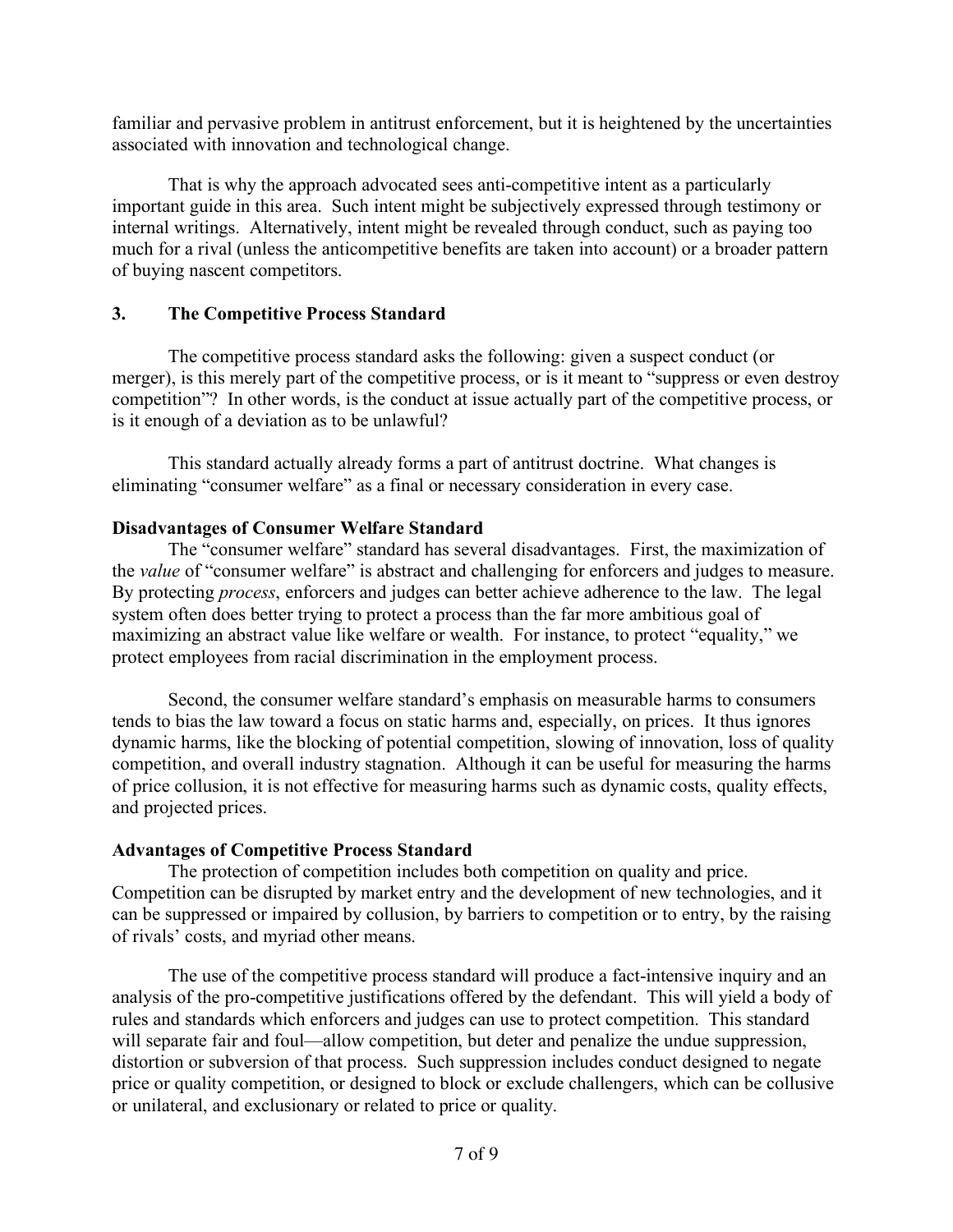familiar and pervasive problem in antitrust enforcement, but it is heightened by the uncertainties associated with innovation and technological change.

That is why the approach advocated sees anti-competitive intent as a particularly important guide in this area. Such intent might be subjectively expressed through testimony or internal writings. Alternatively, intent might be revealed through conduct, such as paying too much for a rival (unless the anticompetitive benefits are taken into account) or a broader pattern of buying nascent competitors.

## **3. The Competitive Process Standard**

The competitive process standard asks the following: given a suspect conduct (or merger), is this merely part of the competitive process, or is it meant to "suppress or even destroy competition"? In other words, is the conduct at issue actually part of the competitive process, or is it enough of a deviation as to be unlawful?

This standard actually already forms a part of antitrust doctrine. What changes is eliminating "consumer welfare" as a final or necessary consideration in every case.

## **Disadvantages of Consumer Welfare Standard**

The "consumer welfare" standard has several disadvantages. First, the maximization of the *value* of "consumer welfare" is abstract and challenging for enforcers and judges to measure. By protecting *process*, enforcers and judges can better achieve adherence to the law. The legal system often does better trying to protect a process than the far more ambitious goal of maximizing an abstract value like welfare or wealth. For instance, to protect "equality," we protect employees from racial discrimination in the employment process.

Second, the consumer welfare standard's emphasis on measurable harms to consumers tends to bias the law toward a focus on static harms and, especially, on prices. It thus ignores dynamic harms, like the blocking of potential competition, slowing of innovation, loss of quality competition, and overall industry stagnation. Although it can be useful for measuring the harms of price collusion, it is not effective for measuring harms such as dynamic costs, quality effects, and projected prices.

# **Advantages of Competitive Process Standard**

The protection of competition includes both competition on quality and price. Competition can be disrupted by market entry and the development of new technologies, and it can be suppressed or impaired by collusion, by barriers to competition or to entry, by the raising of rivals' costs, and myriad other means.

The use of the competitive process standard will produce a fact-intensive inquiry and an analysis of the pro-competitive justifications offered by the defendant. This will yield a body of rules and standards which enforcers and judges can use to protect competition. This standard will separate fair and foul—allow competition, but deter and penalize the undue suppression, distortion or subversion of that process. Such suppression includes conduct designed to negate price or quality competition, or designed to block or exclude challengers, which can be collusive or unilateral, and exclusionary or related to price or quality.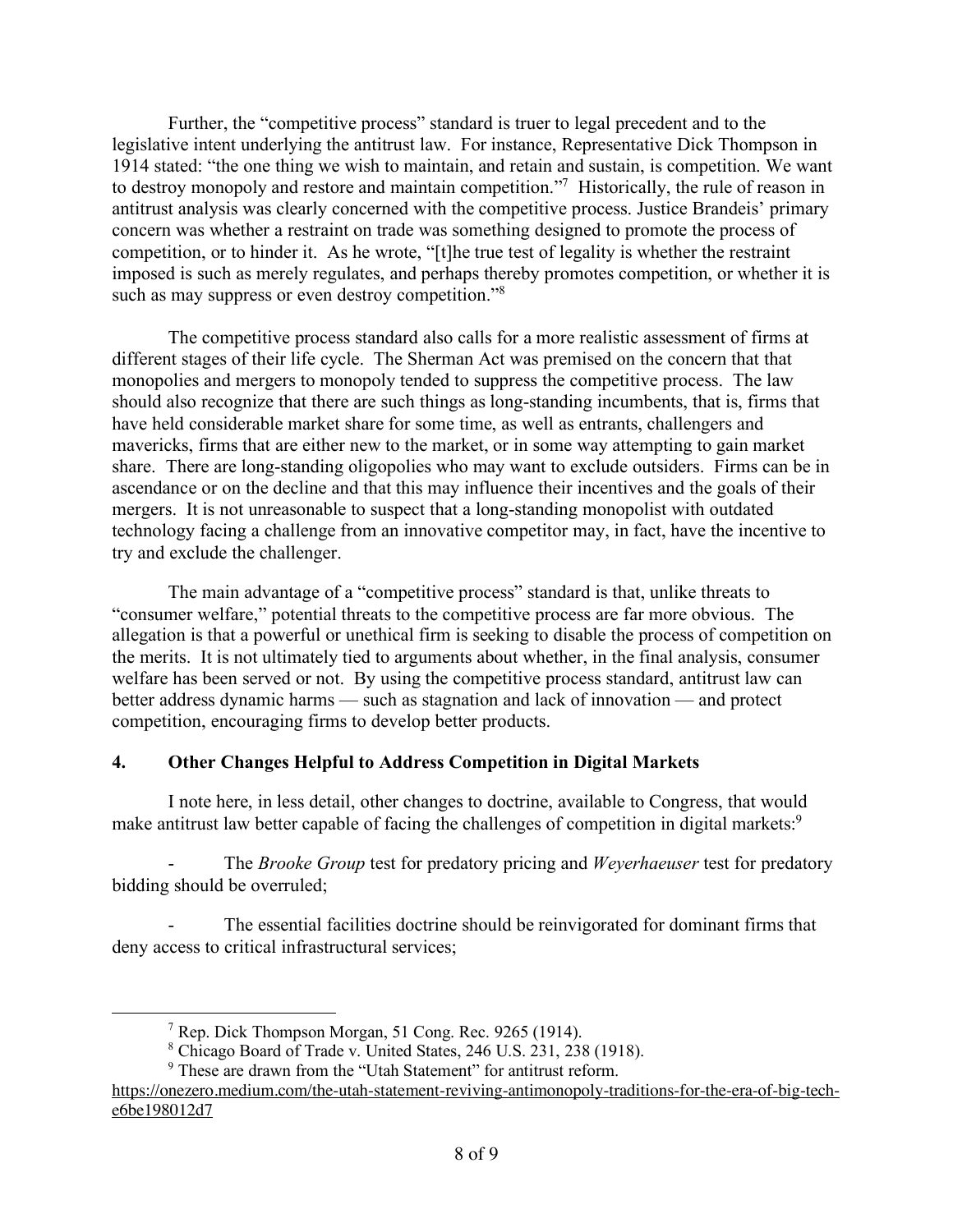Further, the "competitive process" standard is truer to legal precedent and to the legislative intent underlying the antitrust law. For instance, Representative Dick Thompson in 1914 stated: "the one thing we wish to maintain, and retain and sustain, is competition. We want to destroy monopoly and restore and maintain competition."7 Historically, the rule of reason in antitrust analysis was clearly concerned with the competitive process. Justice Brandeis' primary concern was whether a restraint on trade was something designed to promote the process of competition, or to hinder it. As he wrote, "[t]he true test of legality is whether the restraint imposed is such as merely regulates, and perhaps thereby promotes competition, or whether it is such as may suppress or even destroy competition."<sup>8</sup>

The competitive process standard also calls for a more realistic assessment of firms at different stages of their life cycle. The Sherman Act was premised on the concern that that monopolies and mergers to monopoly tended to suppress the competitive process. The law should also recognize that there are such things as long-standing incumbents, that is, firms that have held considerable market share for some time, as well as entrants, challengers and mavericks, firms that are either new to the market, or in some way attempting to gain market share. There are long-standing oligopolies who may want to exclude outsiders. Firms can be in ascendance or on the decline and that this may influence their incentives and the goals of their mergers. It is not unreasonable to suspect that a long-standing monopolist with outdated technology facing a challenge from an innovative competitor may, in fact, have the incentive to try and exclude the challenger.

The main advantage of a "competitive process" standard is that, unlike threats to "consumer welfare," potential threats to the competitive process are far more obvious. The allegation is that a powerful or unethical firm is seeking to disable the process of competition on the merits. It is not ultimately tied to arguments about whether, in the final analysis, consumer welfare has been served or not. By using the competitive process standard, antitrust law can better address dynamic harms — such as stagnation and lack of innovation — and protect competition, encouraging firms to develop better products.

# **4. Other Changes Helpful to Address Competition in Digital Markets**

I note here, in less detail, other changes to doctrine, available to Congress, that would make antitrust law better capable of facing the challenges of competition in digital markets:<sup>9</sup>

The *Brooke* Group test for predatory pricing and *Weyerhaeuser* test for predatory bidding should be overruled;

The essential facilities doctrine should be reinvigorated for dominant firms that deny access to critical infrastructural services;

 <sup>7</sup> Rep. Dick Thompson Morgan, <sup>51</sup> Cong. Rec. <sup>9265</sup> (1914).

<sup>8</sup> Chicago Board of Trade v. United States, 246 U.S. 231, 238 (1918).

<sup>&</sup>lt;sup>9</sup> These are drawn from the "Utah Statement" for antitrust reform.

https://onezero.medium.com/the-utah-statement-reviving-antimonopoly-traditions-for-the-era-of-big-teche6be198012d7